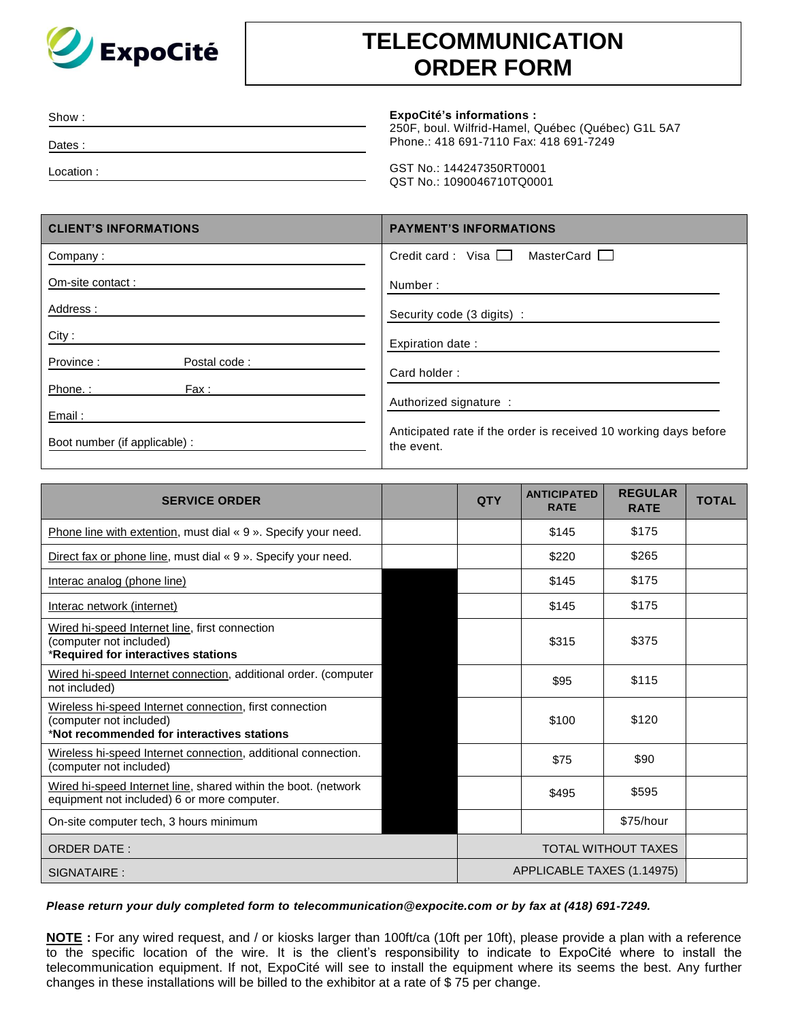

## **TELECOMMUNICATION ORDER FORM**

| Show:      | <b>ExpoCité's informations:</b><br>250F, boul. Wilfrid-Hamel, Québec (Québec) G1L 5A7 |
|------------|---------------------------------------------------------------------------------------|
| Dates:     | Phone.: 418 691-7110 Fax: 418 691-7249                                                |
| Location : | GST No.: 144247350RT0001<br>QST No.: 1090046710TQ0001                                 |

| <b>CLIENT'S INFORMATIONS</b>            | <b>PAYMENT'S INFORMATIONS</b>                                                  |  |  |  |
|-----------------------------------------|--------------------------------------------------------------------------------|--|--|--|
| Company:                                | Credit card: Visa $\Box$<br>MasterCard I                                       |  |  |  |
| Om-site contact:                        | Number:                                                                        |  |  |  |
| Address:                                | Security code (3 digits) :                                                     |  |  |  |
| City:                                   | Expiration date:                                                               |  |  |  |
| Province:<br>Postal code:               | Card holder:                                                                   |  |  |  |
| Phone.:<br>Fax :                        | Authorized signature :                                                         |  |  |  |
| Email:<br>Boot number (if applicable) : | Anticipated rate if the order is received 10 working days before<br>the event. |  |  |  |

| <b>SERVICE ORDER</b>                                                                                                             |  | <b>QTY</b>                 | <b>ANTICIPATED</b><br><b>RATE</b> | <b>REGULAR</b><br><b>RATE</b> | <b>TOTAL</b> |
|----------------------------------------------------------------------------------------------------------------------------------|--|----------------------------|-----------------------------------|-------------------------------|--------------|
| Phone line with extention, must dial « 9 ». Specify your need.                                                                   |  |                            | \$145                             | \$175                         |              |
| Direct fax or phone line, must dial « 9 ». Specify your need.                                                                    |  |                            | \$220                             | \$265                         |              |
| Interac analog (phone line)                                                                                                      |  |                            | \$145                             | \$175                         |              |
| Interac network (internet)                                                                                                       |  |                            | \$145                             | \$175                         |              |
| Wired hi-speed Internet line, first connection<br>(computer not included)<br>*Required for interactives stations                 |  |                            | \$315                             | \$375                         |              |
| Wired hi-speed Internet connection, additional order. (computer<br>not included)                                                 |  |                            | \$95                              | \$115                         |              |
| Wireless hi-speed Internet connection, first connection<br>(computer not included)<br>*Not recommended for interactives stations |  |                            | \$100                             | \$120                         |              |
| Wireless hi-speed Internet connection, additional connection.<br>(computer not included)                                         |  |                            | \$75                              | \$90                          |              |
| Wired hi-speed Internet line, shared within the boot. (network<br>equipment not included) 6 or more computer.                    |  |                            | \$495                             | \$595                         |              |
| On-site computer tech, 3 hours minimum                                                                                           |  |                            |                                   | \$75/hour                     |              |
| <b>ORDER DATE:</b>                                                                                                               |  | <b>TOTAL WITHOUT TAXES</b> |                                   |                               |              |
| SIGNATAIRE:                                                                                                                      |  | APPLICABLE TAXES (1.14975) |                                   |                               |              |

## *Please return your duly completed form to [telecommunication@expocite.com](mailto:telecommunication@expocite.com) or by fax at (418) 691-7249.*

**NOTE :** For any wired request, and / or kiosks larger than 100ft/ca (10ft per 10ft), please provide a plan with a reference to the specific location of the wire. It is the client's responsibility to indicate to ExpoCité where to install the telecommunication equipment. If not, ExpoCité will see to install the equipment where its seems the best. Any further changes in these installations will be billed to the exhibitor at a rate of \$ 75 per change.